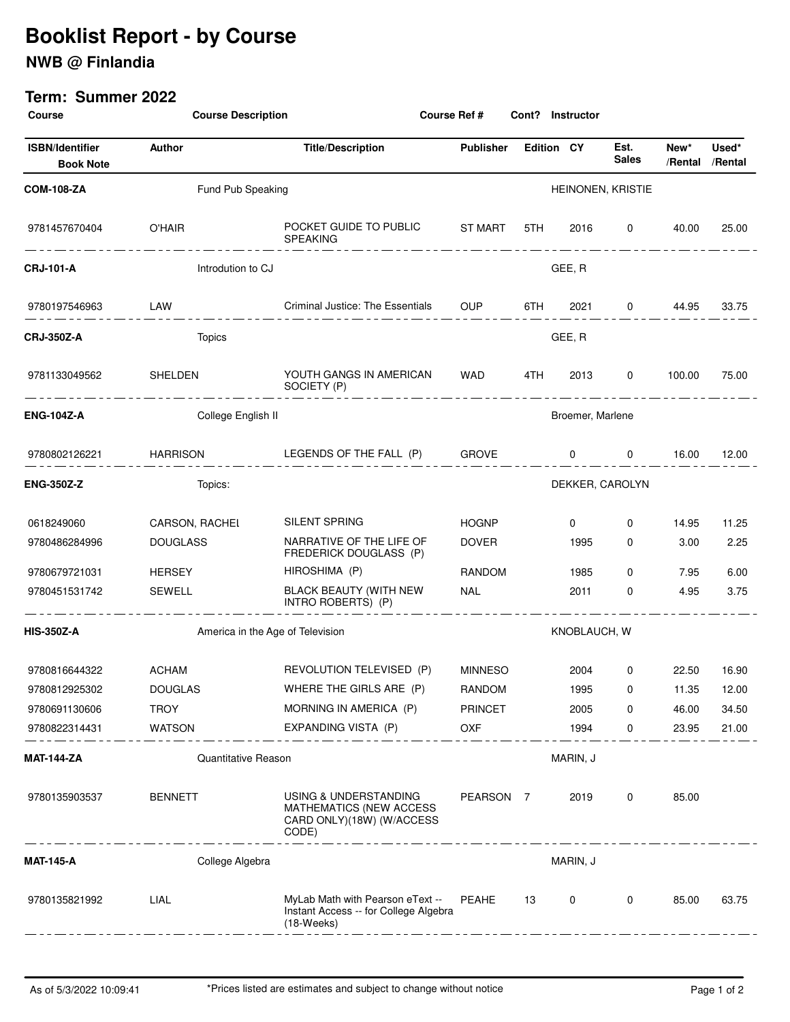# **Booklist Report - by Course**

## **NWB @ Finlandia**

#### **Term: Summer 2022**

| <b>Course</b>                              | <b>Course Description</b>        |                                                                                               | Course Ref #                                   | Cont?             | <b>Instructor</b> |                      |         |                          |  |
|--------------------------------------------|----------------------------------|-----------------------------------------------------------------------------------------------|------------------------------------------------|-------------------|-------------------|----------------------|---------|--------------------------|--|
| <b>ISBN/Identifier</b><br><b>Book Note</b> | Author                           | <b>Title/Description</b>                                                                      | <b>Publisher</b>                               | <b>Edition CY</b> |                   | Est.<br><b>Sales</b> | New*    | Used*<br>/Rental /Rental |  |
| <b>COM-108-ZA</b>                          | Fund Pub Speaking                | HEINONEN, KRISTIE                                                                             |                                                |                   |                   |                      |         |                          |  |
| 9781457670404                              | O'HAIR<br>_________________      | POCKET GUIDE TO PUBLIC ST MART<br><b>SPEAKING</b>                                             |                                                | 5TH F             |                   | 2016 0 40.00         |         | 25.00                    |  |
| <b>CRJ-101-A</b>                           | Introdution to CJ                | GEE, R                                                                                        |                                                |                   |                   |                      |         |                          |  |
| 9780197546963                              | LAW                              | Criminal Justice: The Essentials OUP 6TH                                                      |                                                |                   | 2021 — 2021       |                      | 0 44.95 | 33.75                    |  |
| <b>CRJ-350Z-A</b>                          | <b>Topics</b>                    |                                                                                               | GEE, R                                         |                   |                   |                      |         |                          |  |
| 9781133049562                              | SHELDEN<br>__________________    | YOUTH GANGS IN AMERICAN WAD<br>SOCIETY (P)                                                    |                                                | 4TH               | 2013              | $\mathbf 0$          | 100.00  | 75.00                    |  |
| <b>ENG-104Z-A</b>                          | College English II               | Broemer, Marlene                                                                              |                                                |                   |                   |                      |         |                          |  |
| 9780802126221                              |                                  |                                                                                               |                                                |                   |                   | $0\qquad \qquad 0$   | 16.00   | 12.00                    |  |
| <b>ENG-350Z-Z</b>                          | Topics:                          |                                                                                               | DEKKER, CAROLYN                                |                   |                   |                      |         |                          |  |
| 0618249060                                 | CARSON, RACHEL                   | SILENT SPRING                                                                                 | <b>HOGNP</b>                                   |                   | $\mathbf{0}$      | $\mathbf 0$          | 14.95   | 11.25                    |  |
| 9780486284996                              | <b>DOUGLASS</b>                  | NARRATIVE OF THE LIFE OF<br>FREDERICK DOUGLASS (P)                                            | <b>DOVER</b>                                   |                   | 1995              | $\mathbf 0$          | 3.00    | 2.25                     |  |
| 9780679721031                              | <b>HERSEY</b>                    | HIROSHIMA (P)                                                                                 | RANDOM                                         |                   | 1985              | 0                    | 7.95    | 6.00                     |  |
| 9780451531742                              | SEWELL                           | BLACK BEAUTY (WITH NEW<br>INTRO ROBERTS) (P)                                                  | NAL                                            |                   | 2011              | $\mathbf 0$          | 4.95    | 3.75                     |  |
| <b>HIS-350Z-A</b>                          | America in the Age of Television | KNOBLAUCH, W                                                                                  |                                                |                   |                   |                      |         |                          |  |
| 9780816644322                              | <b>ACHAM</b>                     | REVOLUTION TELEVISED (P)                                                                      | <b>MINNESO</b>                                 |                   | 2004              | 0                    | 22.50   | 16.90                    |  |
| 9780812925302                              | <b>DOUGLAS</b>                   | WHERE THE GIRLS ARE (P)                                                                       | RANDOM                                         |                   | 1995              | $\mathbf{0}$         | 11.35   | 12.00                    |  |
| 9780691130606                              | <b>TROY</b>                      | MORNING IN AMERICA (P)                                                                        | <b>PRINCET</b>                                 |                   | 2005              | 0                    | 46.00   | 34.50                    |  |
| 9780822314431                              | <b>WATSON</b>                    | EXPANDING VISTA (P)                                                                           | OXF                                            |                   | 1994              | 0                    | 23.95   | 21.00                    |  |
| MAT-144-ZA                                 | Quantitative Reason              |                                                                                               | MARIN, J                                       |                   |                   |                      |         |                          |  |
| 9780135903537                              | <b>BENNETT</b>                   | USING & UNDERSTANDING<br><b>MATHEMATICS (NEW ACCESS</b><br>CARD ONLY)(18W) (W/ACCESS<br>CODE) | PEARSON 7<br><u> - - - - - - - - - - - - -</u> |                   | 2019              | 0                    | 85.00   |                          |  |
| <b>MAT-145-A</b>                           | College Algebra                  | MARIN, J                                                                                      |                                                |                   |                   |                      |         |                          |  |
| 9780135821992                              | LIAL                             | MyLab Math with Pearson eText --<br>Instant Access -- for College Algebra<br>$(18-Weeks)$     | PEAHE<br><u>. _ _ _ _ _ . _ _</u>              | 13                | 0                 | 0                    | 85.00   | 63.75                    |  |
|                                            |                                  |                                                                                               |                                                |                   |                   |                      |         |                          |  |